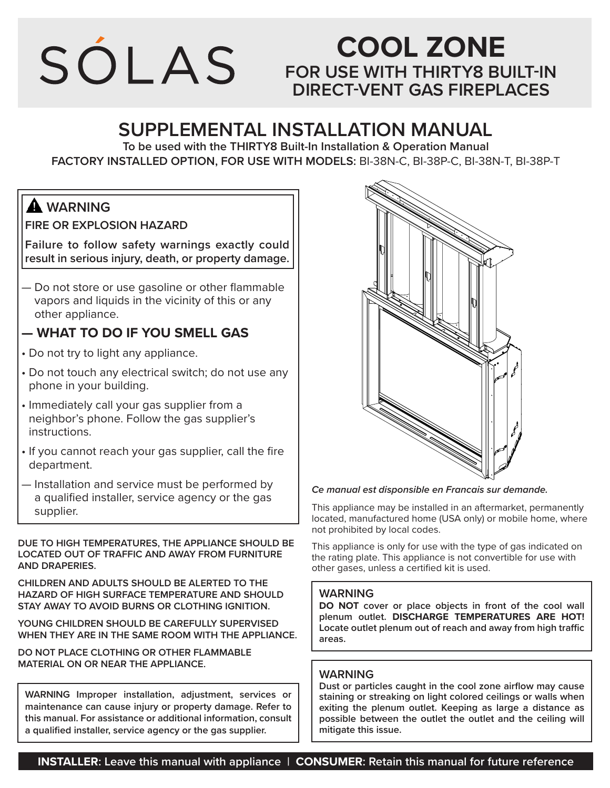

## **COOL ZONE FOR USE WITH THIRTY8 BUILT-IN DIRECT-VENT GAS FIREPLACES**

## **SUPPLEMENTAL INSTALLATION MANUAL**

**To be used with the THIRTY8 Built-In Installation & Operation Manual FACTORY INSTALLED OPTION, FOR USE WITH MODELS:** BI-38N-C, BI-38P-C, BI-38N-T, BI-38P-T

## **WARNING**

**FIRE OR EXPLOSION HAZARD**

**Failure to follow safety warnings exactly could result in serious injury, death, or property damage.**

— Do not store or use gasoline or other flammable vapors and liquids in the vicinity of this or any other appliance.

## **— WHAT TO DO IF YOU SMELL GAS**

- Do not try to light any appliance.
- Do not touch any electrical switch; do not use any phone in your building.
- Immediately call your gas supplier from a neighbor's phone. Follow the gas supplier's instructions.
- If you cannot reach your gas supplier, call the fire department.
- Installation and service must be performed by a qualified installer, service agency or the gas supplier.

**DUE TO HIGH TEMPERATURES, THE APPLIANCE SHOULD BE LOCATED OUT OF TRAFFIC AND AWAY FROM FURNITURE AND DRAPERIES.**

**CHILDREN AND ADULTS SHOULD BE ALERTED TO THE HAZARD OF HIGH SURFACE TEMPERATURE AND SHOULD STAY AWAY TO AVOID BURNS OR CLOTHING IGNITION.**

**YOUNG CHILDREN SHOULD BE CAREFULLY SUPERVISED WHEN THEY ARE IN THE SAME ROOM WITH THE APPLIANCE.**

**DO NOT PLACE CLOTHING OR OTHER FLAMMABLE MATERIAL ON OR NEAR THE APPLIANCE.**

**WARNING Improper installation, adjustment, services or maintenance can cause injury or property damage. Refer to this manual. For assistance or additional information, consult a qualified installer, service agency or the gas supplier.**



#### *Ce manual est disponsible en Francais sur demande.*

This appliance may be installed in an aftermarket, permanently located, manufactured home (USA only) or mobile home, where not prohibited by local codes.

This appliance is only for use with the type of gas indicated on the rating plate. This appliance is not convertible for use with other gases, unless a certified kit is used.

#### **WARNING**

**DO NOT cover or place objects in front of the cool wall plenum outlet. DISCHARGE TEMPERATURES ARE HOT! Locate outlet plenum out of reach and away from high traffic areas.**

#### **WARNING**

**Dust or particles caught in the cool zone airflow may cause staining or streaking on light colored ceilings or walls when exiting the plenum outlet. Keeping as large a distance as possible between the outlet the outlet and the ceiling will mitigate this issue.**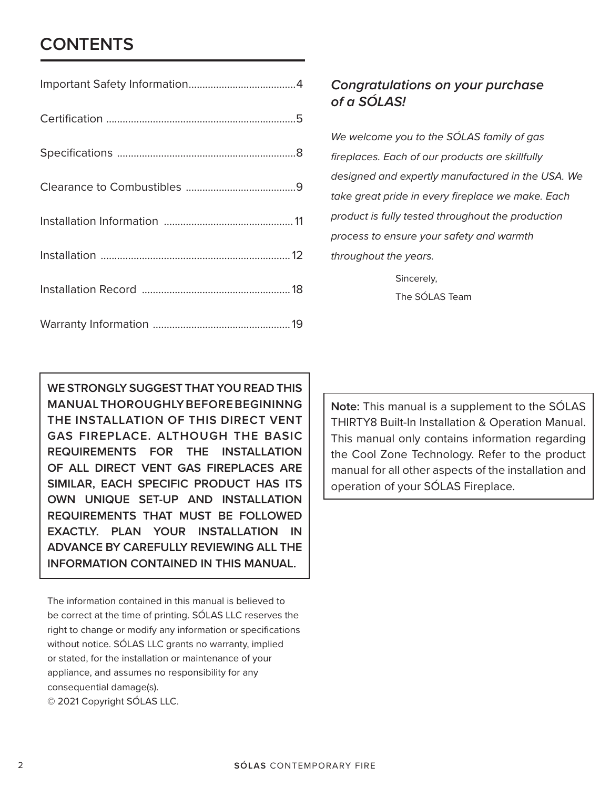## **CONTENTS**

## *Congratulations on your purchase of a SÓLAS!*

*We welcome you to the SÓLAS family of gas fireplaces. Each of our products are skillfully designed and expertly manufactured in the USA. We take great pride in every fireplace we make. Each product is fully tested throughout the production process to ensure your safety and warmth throughout the years.*

> Sincerely, The SÓLAS Team

**WE STRONGLY SUGGEST THAT YOU READ THIS MANUAL THOROUGHLY BEFORE BEGININNG THE INSTALLATION OF THIS DIRECT VENT GAS FIREPLACE. ALTHOUGH THE BASIC REQUIREMENTS FOR THE INSTALLATION OF ALL DIRECT VENT GAS FIREPLACES ARE SIMILAR, EACH SPECIFIC PRODUCT HAS ITS OWN UNIQUE SET-UP AND INSTALLATION REQUIREMENTS THAT MUST BE FOLLOWED EXACTLY. PLAN YOUR INSTALLATION IN ADVANCE BY CAREFULLY REVIEWING ALL THE INFORMATION CONTAINED IN THIS MANUAL.**

The information contained in this manual is believed to be correct at the time of printing. SÓLAS LLC reserves the right to change or modify any information or specifications without notice. SÓLAS LLC grants no warranty, implied or stated, for the installation or maintenance of your appliance, and assumes no responsibility for any consequential damage(s). © 2021 Copyright SÓLAS LLC.

**Note:** This manual is a supplement to the SÓLAS THIRTY8 Built-In Installation & Operation Manual. This manual only contains information regarding the Cool Zone Technology. Refer to the product manual for all other aspects of the installation and operation of your SÓLAS Fireplace.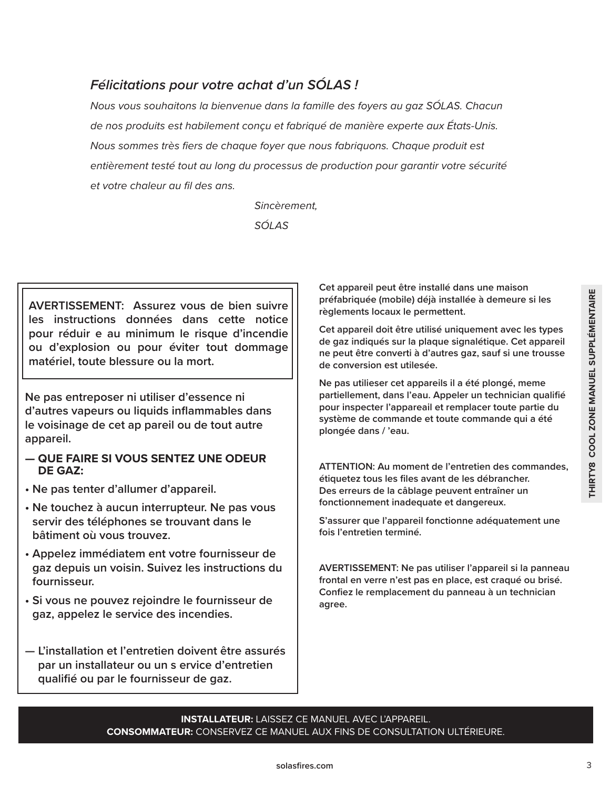## *Félicitations pour votre achat d'un SÓLAS !*

*Nous vous souhaitons la bienvenue dans la famille des foyers au gaz SÓLAS. Chacun de nos produits est habilement conçu et fabriqué de manière experte aux États-Unis. Nous sommes très fiers de chaque foyer que nous fabriquons. Chaque produit est entièrement testé tout au long du processus de production pour garantir votre sécurité et votre chaleur au fil des ans.*

*Sincèrement,*

*SÓLAS*

**AVERTISSEMENT: Assurez vous de bien suivre les instructions données dans cette notice pour réduir e au minimum le risque d'incendie ou d'explosion ou pour éviter tout dommage matériel, toute blessure ou la mort.**

**Ne pas entreposer ni utiliser d'essence ni d'autres vapeurs ou liquids inflammables dans le voisinage de cet ap pareil ou de tout autre appareil.**

- **QUE FAIRE SI VOUS SENTEZ UNE ODEUR DE GAZ:**
- **Ne pas tenter d'allumer d'appareil.**
- **Ne touchez à aucun interrupteur. Ne pas vous servir des téléphones se trouvant dans le bâtiment où vous trouvez.**
- **Appelez immédiatem ent votre fournisseur de gaz depuis un voisin. Suivez les instructions du fournisseur.**
- **Si vous ne pouvez rejoindre le fournisseur de gaz, appelez le service des incendies.**
- **L'installation et l'entretien doivent être assurés par un installateur ou un s ervice d'entretien qualifié ou par le fournisseur de gaz.**

**Cet appareil peut être installé dans une maison préfabriquée (mobile) déjà installée à demeure si les règlements locaux le permettent.** 

**Cet appareil doit être utilisé uniquement avec les types de gaz indiqués sur la plaque signalétique. Cet appareil ne peut être converti à d'autres gaz, sauf si une trousse de conversion est utilesée.**

**Example the instant enteration and manuel many the dependent of the applements locaux le permettent.**<br> **Containing the solarce identifiere utilisé uniquement avec les types**<br>
de gaz indiqués sur la plaque signalétique. Ce **Ne pas utilieser cet appareils il a été plongé, meme partiellement, dans l'eau. Appeler un technician qualifié pour inspecter l'appareail et remplacer toute partie du système de commande et toute commande qui a été plongée dans / 'eau.**

**ATTENTION: Au moment de l'entretien des commandes, étiquetez tous les files avant de les débrancher. Des erreurs de la câblage peuvent entraîner un fonctionnement inadequate et dangereux.** 

**S'assurer que l'appareil fonctionne adéquatement une fois l'entretien terminé.**

**AVERTISSEMENT: Ne pas utiliser l'appareil si la panneau frontal en verre n'est pas en place, est craqué ou brisé. Confiez le remplacement du panneau à un technician agree.**

**INSTALLATEUR:** LAISSEZ CE MANUEL AVEC L'APPAREIL. **CONSOMMATEUR:** CONSERVEZ CE MANUEL AUX FINS DE CONSULTATION ULTÉRIEURE.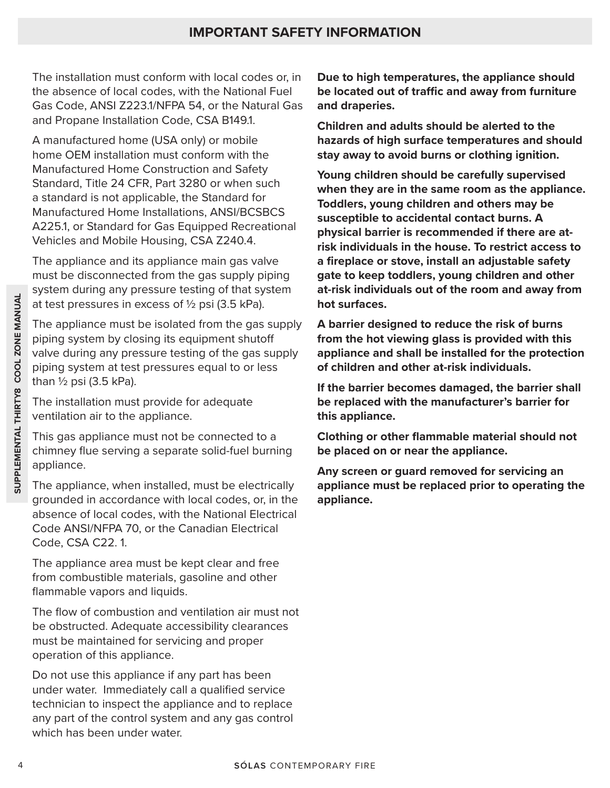The installation must conform with local codes or, in the absence of local codes, with the National Fuel Gas Code, ANSI Z223.1/NFPA 54, or the Natural Gas and Propane Installation Code, CSA B149.1.

A manufactured home (USA only) or mobile home OEM installation must conform with the Manufactured Home Construction and Safety Standard, Title 24 CFR, Part 3280 or when such a standard is not applicable, the Standard for Manufactured Home Installations, ANSI/BCSBCS A225.1, or Standard for Gas Equipped Recreational Vehicles and Mobile Housing, CSA Z240.4.

The appliance and its appliance main gas valve must be disconnected from the gas supply piping system during any pressure testing of that system at test pressures in excess of  $\frac{1}{2}$  psi (3.5 kPa).

The appliance must be isolated from the gas supply piping system by closing its equipment shutoff valve during any pressure testing of the gas supply piping system at test pressures equal to or less than  $\frac{1}{2}$  psi (3.5 kPa).

The installation must provide for adequate ventilation air to the appliance.

This gas appliance must not be connected to a chimney flue serving a separate solid-fuel burning appliance.

The appliance, when installed, must be electrically grounded in accordance with local codes, or, in the absence of local codes, with the National Electrical Code ANSI/NFPA 70, or the Canadian Electrical Code, CSA C22. 1.

The appliance area must be kept clear and free from combustible materials, gasoline and other flammable vapors and liquids.

The flow of combustion and ventilation air must not be obstructed. Adequate accessibility clearances must be maintained for servicing and proper operation of this appliance.

From the appliance was many pressure to essay of the spiral system and the spiral spiral at test pressures in excess of  $Y_2$  psi (3.5 kPa). **A barrier d** piping system by closing its equipment shufof **from the hydrodynal** Do not use this appliance if any part has been under water. Immediately call a qualified service technician to inspect the appliance and to replace any part of the control system and any gas control which has been under water.

**Due to high temperatures, the appliance should be located out of traffic and away from furniture and draperies.**

**Children and adults should be alerted to the hazards of high surface temperatures and should stay away to avoid burns or clothing ignition.**

**Young children should be carefully supervised when they are in the same room as the appliance. Toddlers, young children and others may be susceptible to accidental contact burns. A physical barrier is recommended if there are atrisk individuals in the house. To restrict access to a fireplace or stove, install an adjustable safety gate to keep toddlers, young children and other at-risk individuals out of the room and away from hot surfaces.**

**A barrier designed to reduce the risk of burns from the hot viewing glass is provided with this appliance and shall be installed for the protection of children and other at-risk individuals.**

**If the barrier becomes damaged, the barrier shall be replaced with the manufacturer's barrier for this appliance.**

**Clothing or other flammable material should not be placed on or near the appliance.**

**Any screen or guard removed for servicing an appliance must be replaced prior to operating the appliance.**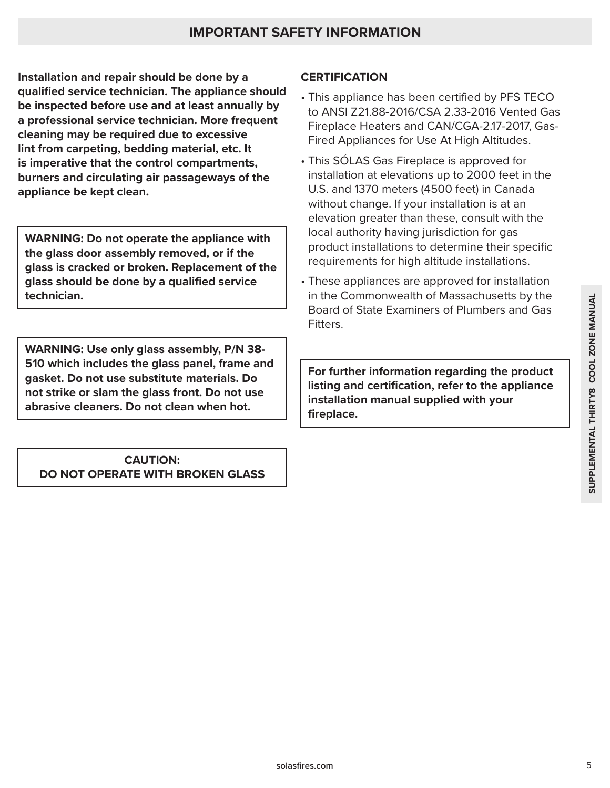**Installation and repair should be done by a qualified service technician. The appliance should be inspected before use and at least annually by a professional service technician. More frequent cleaning may be required due to excessive lint from carpeting, bedding material, etc. It is imperative that the control compartments, burners and circulating air passageways of the appliance be kept clean.**

**WARNING: Do not operate the appliance with the glass door assembly removed, or if the glass is cracked or broken. Replacement of the glass should be done by a qualified service technician.**

**WARNING: Use only glass assembly, P/N 38- 510 which includes the glass panel, frame and gasket. Do not use substitute materials. Do not strike or slam the glass front. Do not use abrasive cleaners. Do not clean when hot.**

### **CAUTION: DO NOT OPERATE WITH BROKEN GLASS**

## **CERTIFICATION**

- This appliance has been certified by PFS TECO to ANSI Z21.88-2016/CSA 2.33-2016 Vented Gas Fireplace Heaters and CAN/CGA-2.17-2017, Gas-Fired Appliances for Use At High Altitudes.
- This SÓLAS Gas Fireplace is approved for installation at elevations up to 2000 feet in the U.S. and 1370 meters (4500 feet) in Canada without change. If your installation is at an elevation greater than these, consult with the local authority having jurisdiction for gas product installations to determine their specific requirements for high altitude installations.
- These appliances are approved for installation in the Commonwealth of Massachusetts by the Board of State Examiners of Plumbers and Gas Fitters.

in the Commonwealth of Massachusetts by the<br>Board of State Examiners of Plumbers and Gas<br>Fitters.<br>Fitters.<br>**For further information regarding the product**<br>listing and certification, refer to the appliance<br>installation manu **For further information regarding the product listing and certification, refer to the appliance installation manual supplied with your fireplace.**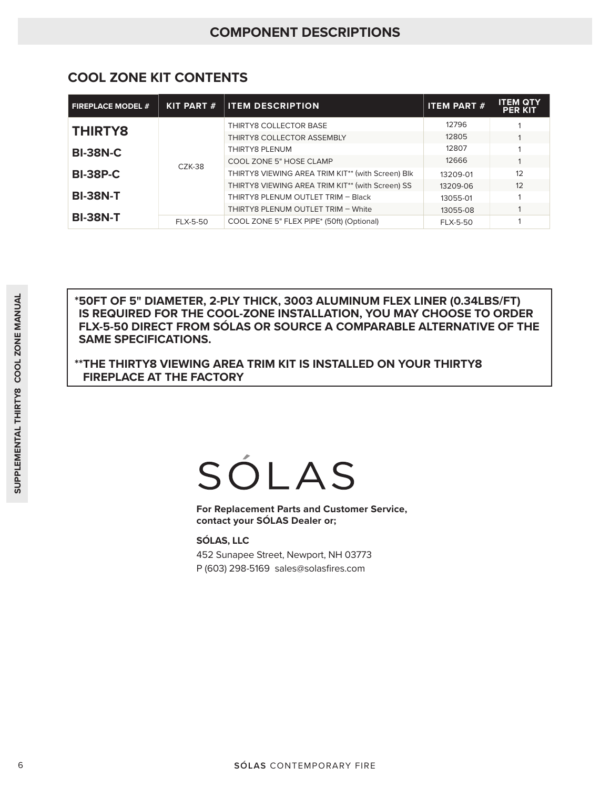| <b>FIREPLACE MODEL #</b> | <b>KIT PART #</b> | <b>ITEM DESCRIPTION</b>                           | <b>ITEM PART #</b> | <b>ITEM QTY</b><br><b>PER KIT</b> |
|--------------------------|-------------------|---------------------------------------------------|--------------------|-----------------------------------|
| <b>THIRTY8</b>           |                   | THIRTY8 COLLECTOR BASE                            | 12796              |                                   |
|                          |                   | THIRTY8 COLLECTOR ASSEMBLY                        | 12805              |                                   |
| <b>BI-38N-C</b>          |                   | THIRTY8 PLENUM                                    | 12807              |                                   |
|                          | $CZK-38$          | COOL ZONE 5" HOSE CLAMP                           | 12666              |                                   |
| <b>BI-38P-C</b>          |                   | THIRTY8 VIEWING AREA TRIM KIT** (with Screen) Blk | 13209-01           | 12                                |
|                          |                   | THIRTY8 VIEWING AREA TRIM KIT** (with Screen) SS  | 13209-06           | 12                                |
| <b>BI-38N-T</b>          |                   | THIRTY8 PLENUM OUTLET TRIM - Black                | 13055-01           |                                   |
|                          |                   | THIRTY8 PLENUM OUTLET TRIM - White                | 13055-08           |                                   |
| <b>BI-38N-T</b>          | <b>FLX-5-50</b>   | COOL ZONE 5" FLEX PIPE* (50ft) (Optional)         | <b>FLX-5-50</b>    |                                   |

## **COOL ZONE KIT CONTENTS**

FOR SPINAMETER, 2-PLY THICK, 3003 ALUMINUM<br>
IS REQUIRED FOR THE COOL-ZONE INSTALLED<br>
FLX-5-50 DIRECT FROM SOLAS OR SOURCE A COMPA<br>
SAME SPECIFICATIONS.<br>
"THE THIRTYS VIEWING AREA TRIM KIT IS INSTALLED<br>
FIREPLACE AT THE FAC **\*50FT OF 5" DIAMETER, 2-PLY THICK, 3003 ALUMINUM FLEX LINER (0.34LBS/FT) IS REQUIRED FOR THE COOL-ZONE INSTALLATION, YOU MAY CHOOSE TO ORDER FLX-5-50 DIRECT FROM SÓLAS OR SOURCE A COMPARABLE ALTERNATIVE OF THE SAME SPECIFICATIONS.** 

**\*\*THE THIRTY8 VIEWING AREA TRIM KIT IS INSTALLED ON YOUR THIRTY8 FIREPLACE AT THE FACTORY**

**For Replacement Parts and Customer Service, contact your SÓLAS Dealer or;**

**SÓLAS, LLC** 

452 Sunapee Street, Newport, NH 03773 P (603) 298-5169 sales@solasfires.com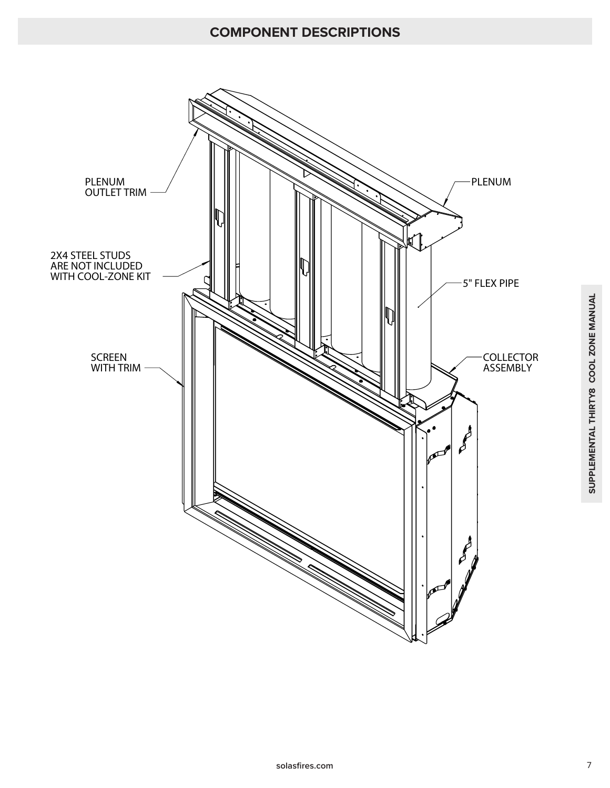## **COMPONENT DESCRIPTIONS**

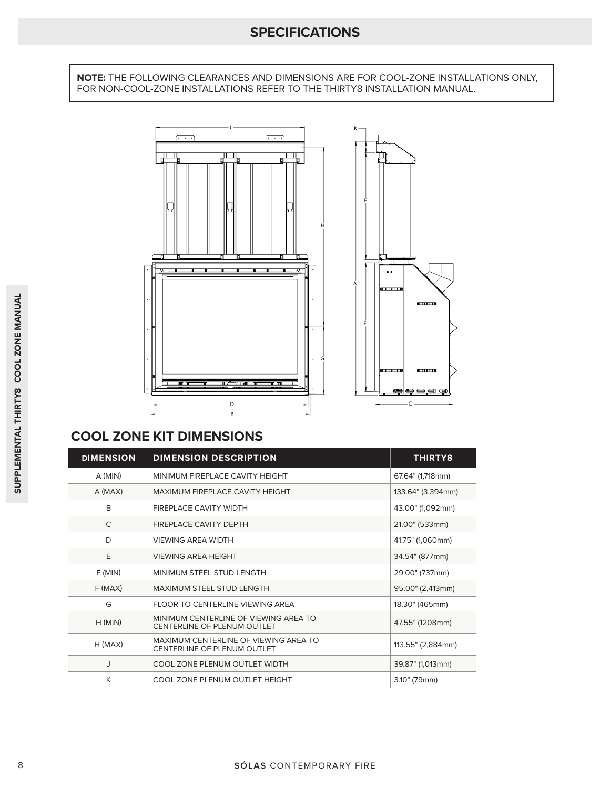## **SPECIFICATIONS**

**NOTE:** THE FOLLOWING CLEARANCES AND DIMENSIONS ARE FOR COOL-ZONE INSTALLATIONS ONLY, FOR NON-COOL-ZONE INSTALLATIONS REFER TO THE THIRTY8 INSTALLATION MANUAL.



## **COOL ZONE KIT DIMENSIONS**

|                  | Е<br>G                                                               | <b>SELLISTI</b><br>ستختب<br>e |
|------------------|----------------------------------------------------------------------|-------------------------------|
| <b>DIMENSION</b> | <b>COOL ZONE KIT DIMENSIONS</b>                                      |                               |
| $A$ (MIN)        | <b>DIMENSION DESCRIPTION</b><br>MINIMUM FIREPLACE CAVITY HEIGHT      | THIRTY8<br>67.64" (1,718mm)   |
| A (MAX)          | MAXIMUM FIREPLACE CAVITY HEIGHT                                      | 133.64" (3,394mm)             |
| B                | FIREPLACE CAVITY WIDTH                                               | 43.00" (1,092mm)              |
| C                | FIREPLACE CAVITY DEPTH                                               | 21.00" (533mm)                |
| D                | <b>VIEWING AREA WIDTH</b>                                            | 41.75" (1,060mm)              |
| E                | <b>VIEWING AREA HEIGHT</b>                                           | 34.54" (877mm)                |
| F(MIN)           | MINIMUM STEEL STUD LENGTH                                            | 29.00" (737mm)                |
| $F$ (MAX)        | MAXIMUM STEEL STUD LENGTH                                            | 95.00" (2,413mm)              |
| G                | FLOOR TO CENTERLINE VIEWING AREA                                     | 18.30" (465mm)                |
| H(MIN)           | MINIMUM CENTERLINE OF VIEWING AREA TO<br>CENTERLINE OF PLENUM OUTLET | 47.55" (1208mm)               |
|                  | MAXIMUM CENTERLINE OF VIEWING AREA TO                                |                               |
| $H$ (MAX)        | CENTERLINE OF PLENUM OUTLET                                          | 113.55" (2,884mm)             |
| J                | COOL ZONE PLENUM OUTLET WIDTH                                        | 39.87" (1,013mm)              |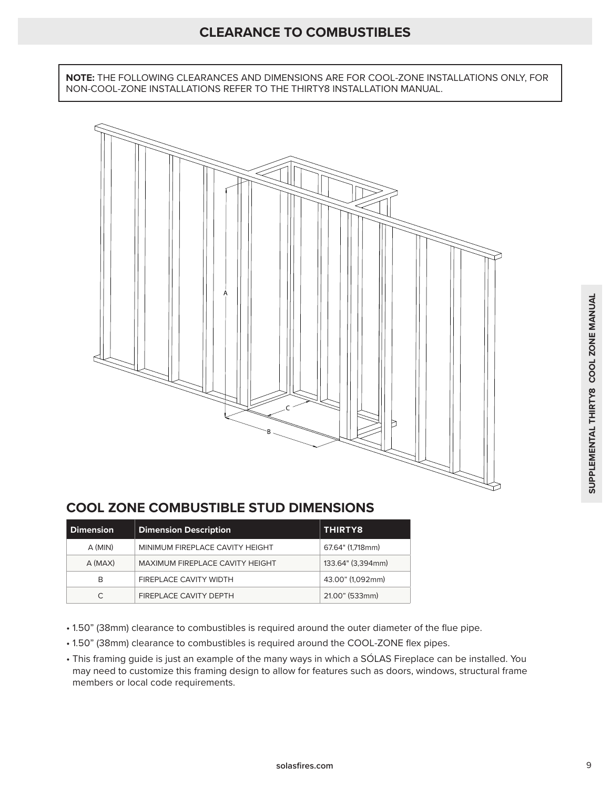**NOTE:** THE FOLLOWING CLEARANCES AND DIMENSIONS ARE FOR COOL-ZONE INSTALLATIONS ONLY, FOR NON-COOL-ZONE INSTALLATIONS REFER TO THE THIRTY8 INSTALLATION MANUAL.



## **COOL ZONE COMBUSTIBLE STUD DIMENSIONS**

| <b>Dimension</b> | <b>Dimension Description</b>    | <b>THIRTY8</b>    |
|------------------|---------------------------------|-------------------|
| A (MIN)          | MINIMUM FIREPLACE CAVITY HEIGHT | 67.64" (1,718mm)  |
| $A$ (MAX)        | MAXIMUM FIREPLACE CAVITY HEIGHT | 133.64" (3,394mm) |
| B                | FIREPLACE CAVITY WIDTH          | 43.00" (1,092mm)  |
|                  | FIREPLACE CAVITY DEPTH          | 21.00" (533mm)    |

- 1.50" (38mm) clearance to combustibles is required around the outer diameter of the flue pipe.
- 1.50" (38mm) clearance to combustibles is required around the COOL-ZONE flex pipes.
- This framing guide is just an example of the many ways in which a SÓLAS Fireplace can be installed. You may need to customize this framing design to allow for features such as doors, windows, structural frame members or local code requirements.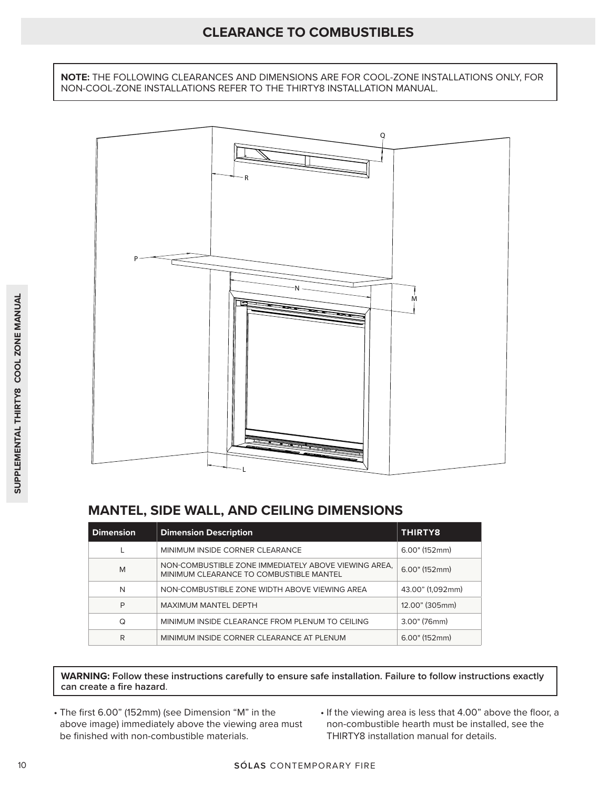## **CLEARANCE TO COMBUSTIBLES**

**NOTE:** THE FOLLOWING CLEARANCES AND DIMENSIONS ARE FOR COOL-ZONE INSTALLATIONS ONLY, FOR NON-COOL-ZONE INSTALLATIONS REFER TO THE THIRTY8 INSTALLATION MANUAL.



## **MANTEL, SIDE WALL, AND CEILING DIMENSIONS**

| <b>Dimension</b> | <b>Dimension Description</b>                                                                    | THIRTY8          |
|------------------|-------------------------------------------------------------------------------------------------|------------------|
|                  | MINIMUM INSIDE CORNER CLEARANCE                                                                 | $6.00"$ (152mm)  |
| M                | NON-COMBUSTIBLE ZONE IMMEDIATELY ABOVE VIEWING AREA.<br>MINIMUM CLEARANCE TO COMBUSTIBLE MANTEL | $6.00"$ (152mm)  |
| N                | NON-COMBUSTIBLE ZONE WIDTH ABOVE VIEWING AREA                                                   | 43.00" (1.092mm) |
| P                | <b>MAXIMUM MANTEL DEPTH</b>                                                                     | 12.00" (305mm)   |
| Q                | MINIMUM INSIDE CLEARANCE FROM PLENUM TO CEILING                                                 | 3.00" (76mm)     |
| R                | MINIMUM INSIDE CORNER CLEARANCE AT PLENUM                                                       | $6.00"$ (152mm)  |

**WARNING: Follow these instructions carefully to ensure safe installation. Failure to follow instructions exactly can create a fire hazard**.

- The first 6.00" (152mm) (see Dimension "M" in the above image) immediately above the viewing area must be finished with non-combustible materials.
- If the viewing area is less that 4.00" above the floor, a non-combustible hearth must be installed, see the THIRTY8 installation manual for details.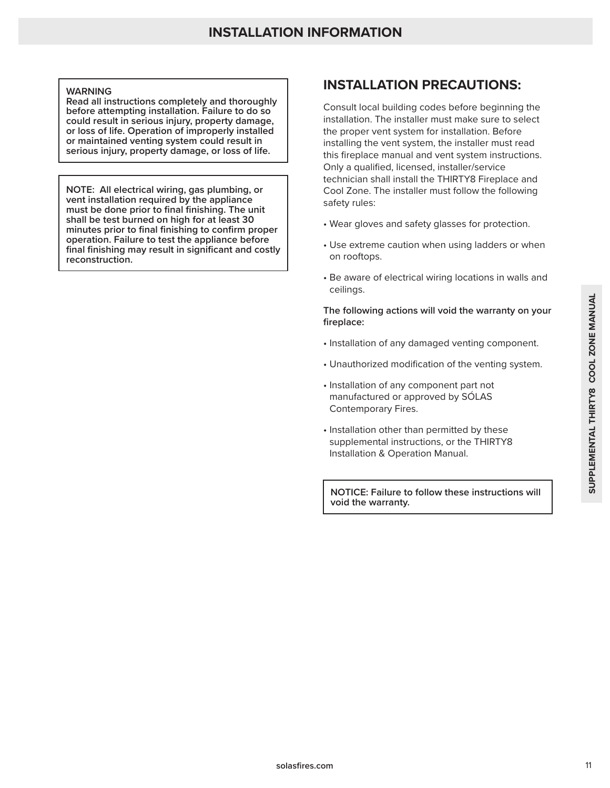#### **WARNING**

**Read all instructions completely and thoroughly before attempting installation. Failure to do so could result in serious injury, property damage, or loss of life. Operation of improperly installed or maintained venting system could result in serious injury, property damage, or loss of life.** 

**NOTE: All electrical wiring, gas plumbing, or vent installation required by the appliance must be done prior to final finishing. The unit shall be test burned on high for at least 30 minutes prior to final finishing to confirm proper operation. Failure to test the appliance before final finishing may result in significant and costly reconstruction.**

## **INSTALLATION PRECAUTIONS:**

Consult local building codes before beginning the installation. The installer must make sure to select the proper vent system for installation. Before installing the vent system, the installer must read this fireplace manual and vent system instructions. Only a qualified, licensed, installer/service technician shall install the THIRTY8 Fireplace and Cool Zone. The installer must follow the following safety rules:

- Wear gloves and safety glasses for protection.
- Use extreme caution when using ladders or when on rooftops.
- Be aware of electrical wiring locations in walls and ceilings.

#### **The following actions will void the warranty on your fireplace:**

- Installation of any damaged venting component.
- Unauthorized modification of the venting system.
- Installation of any component part not manufactured or approved by SÓLAS Contemporary Fires.
- The following actions will void the warranty on your<br>
fireplace:<br>
Installation of any damaged venting component.<br> **Unauthorized modification of the venting system.**<br>
Installation of any component part not<br>
manufactured or • Installation other than permitted by these supplemental instructions, or the THIRTY8 Installation & Operation Manual.

**NOTICE: Failure to follow these instructions will void the warranty.**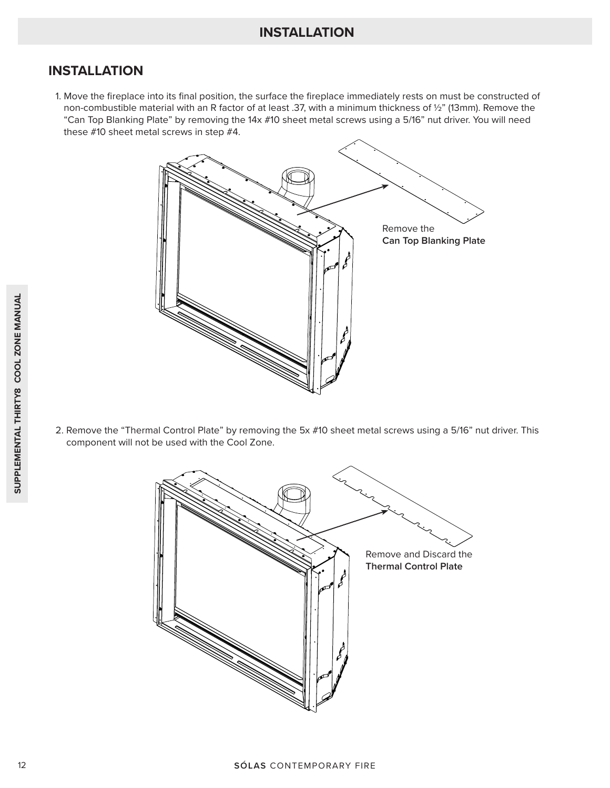1. Move the fireplace into its final position, the surface the fireplace immediately rests on must be constructed of non-combustible material with an R factor of at least .37, with a minimum thickness of ½" (13mm). Remove the "Can Top Blanking Plate" by removing the 14x #10 sheet metal screws using a 5/16" nut driver. You will need these #10 sheet metal screws in step #4.



2. Remove the "Thermal Control Plate" by removing the 5x #10 sheet metal screws using a 5/16" nut driver. This component will not be used with the Cool Zone.

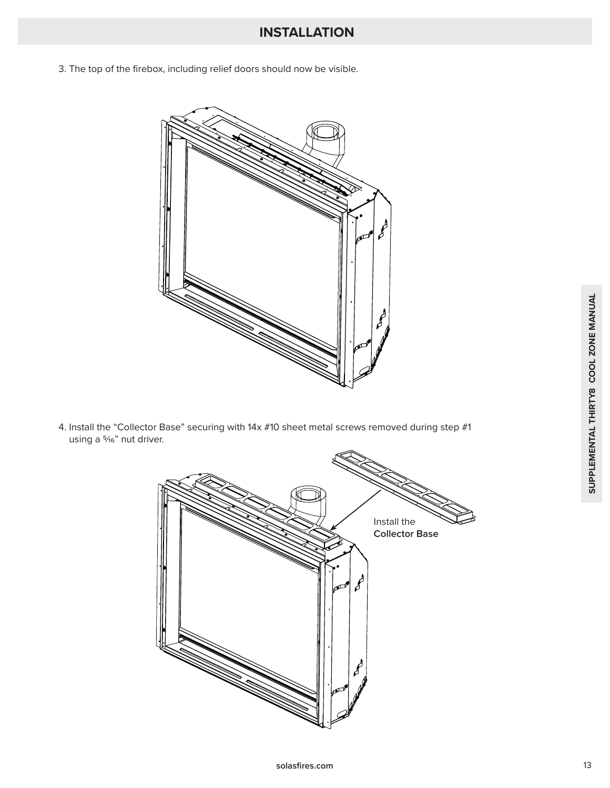3. The top of the firebox, including relief doors should now be visible.



4. Install the "Collector Base" securing with 14x #10 sheet metal screws removed during step #1 using a 5/16" nut driver.

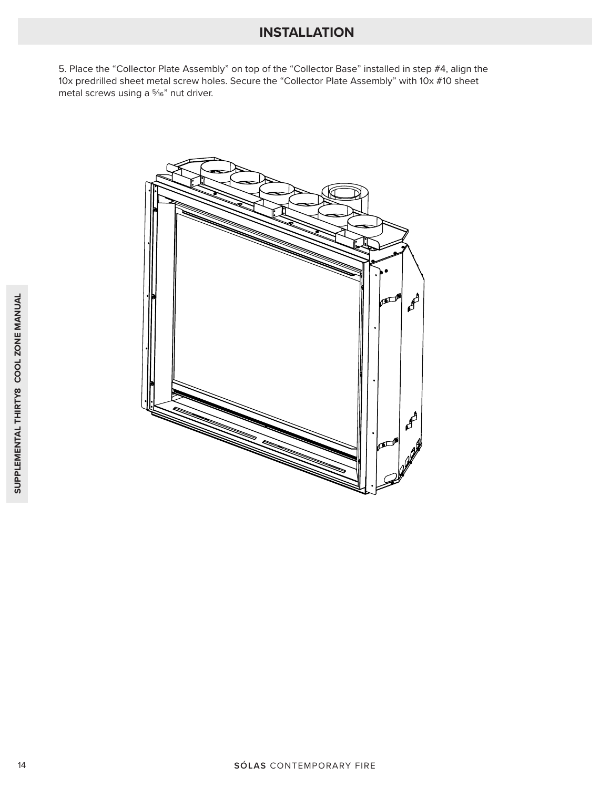5. Place the "Collector Plate Assembly" on top of the "Collector Base" installed in step #4, align the 10x predrilled sheet metal screw holes. Secure the "Collector Plate Assembly" with 10x #10 sheet metal screws using a 5/16" nut driver.

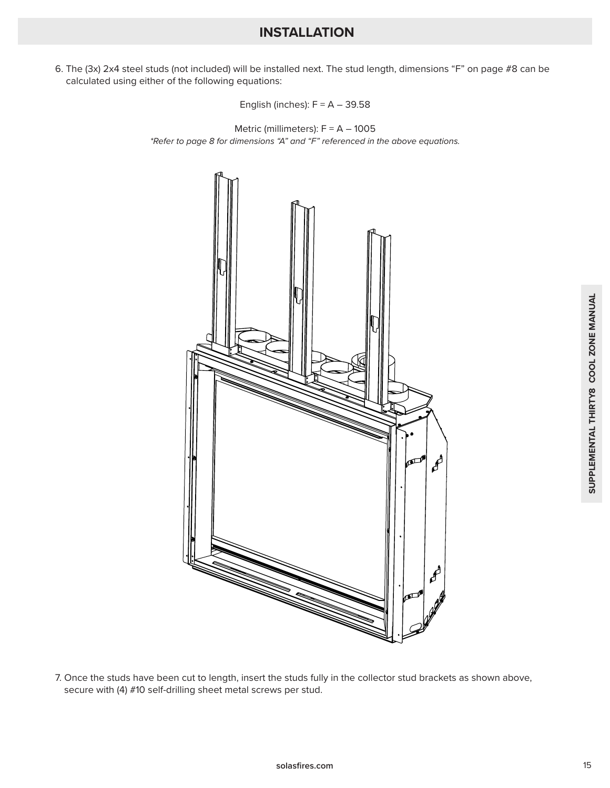6. The (3x) 2x4 steel studs (not included) will be installed next. The stud length, dimensions "F" on page #8 can be calculated using either of the following equations:

English (inches):  $F = A - 39.58$ 

Metric (millimeters):  $F = A - 1005$ *\*Refer to page 8 for dimensions "A" and "F" referenced in the above equations.*



7. Once the studs have been cut to length, insert the studs fully in the collector stud brackets as shown above, secure with (4) #10 self-drilling sheet metal screws per stud.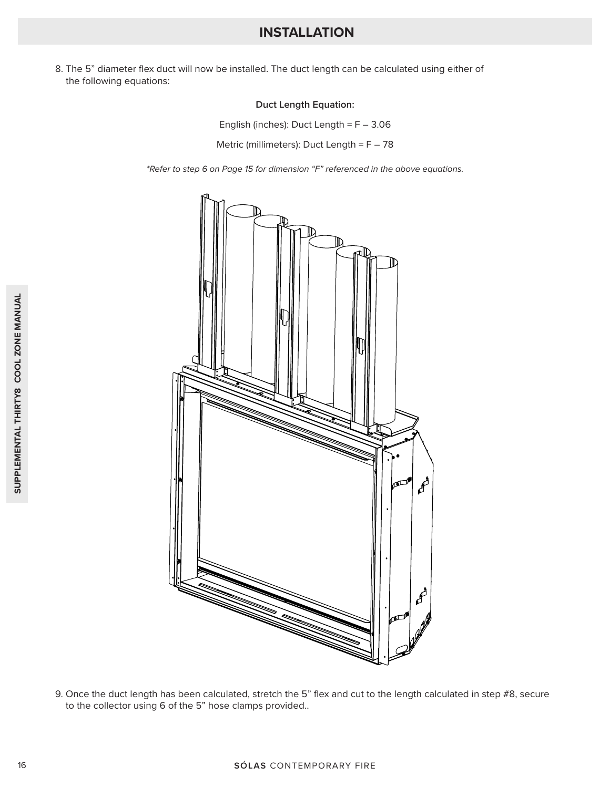8. The 5" diameter flex duct will now be installed. The duct length can be calculated using either of the following equations:

#### **Duct Length Equation:**

English (inches): Duct Length = F – 3.06

Metric (millimeters): Duct Length = F – 78

*\*Refer to step 6 on Page 15 for dimension "F" referenced in the above equations.*



9. Once the duct length has been calculated, stretch the 5" flex and cut to the length calculated in step #8, secure to the collector using 6 of the 5" hose clamps provided..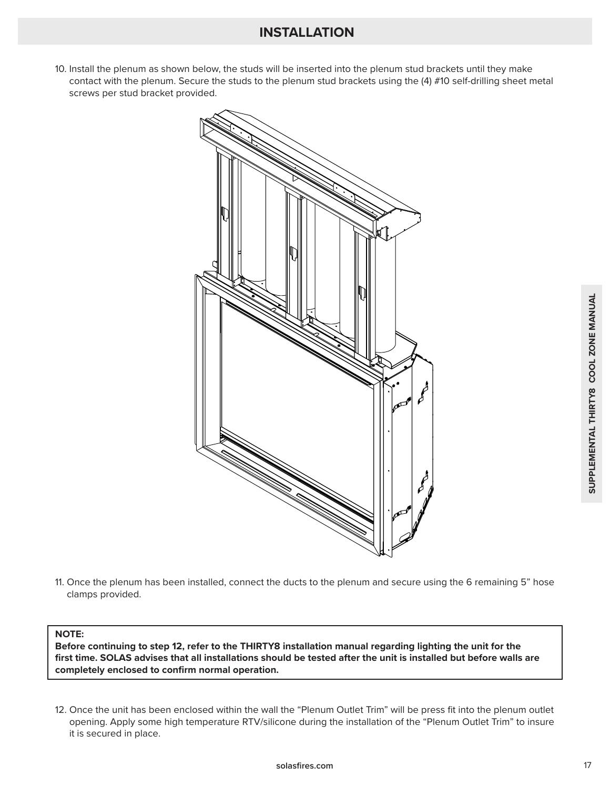10. Install the plenum as shown below, the studs will be inserted into the plenum stud brackets until they make contact with the plenum. Secure the studs to the plenum stud brackets using the (4) #10 self-drilling sheet metal screws per stud bracket provided.



11. Once the plenum has been installed, connect the ducts to the plenum and secure using the 6 remaining 5" hose clamps provided.

#### **NOTE:**

**Before continuing to step 12, refer to the THIRTY8 installation manual regarding lighting the unit for the first time. SOLAS advises that all installations should be tested after the unit is installed but before walls are completely enclosed to confirm normal operation.**

12. Once the unit has been enclosed within the wall the "Plenum Outlet Trim" will be press fit into the plenum outlet opening. Apply some high temperature RTV/silicone during the installation of the "Plenum Outlet Trim" to insure it is secured in place.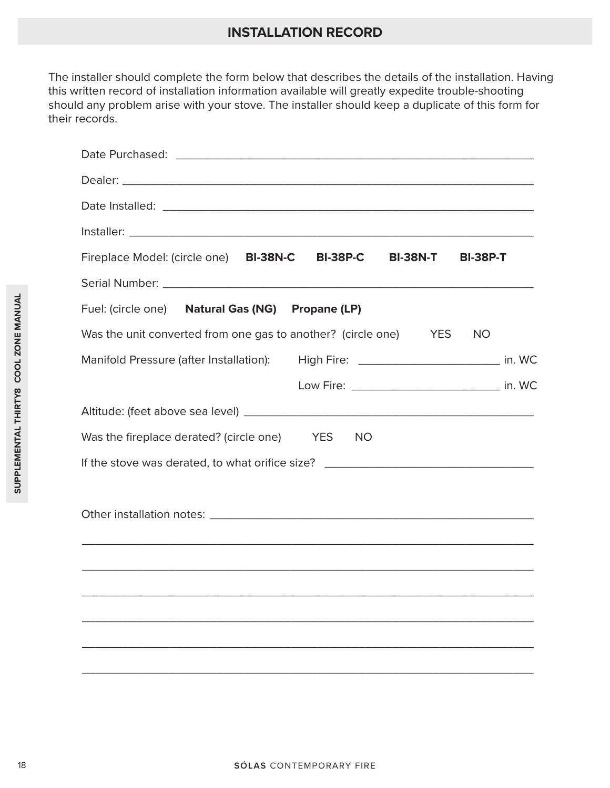## **INSTALLATION RECORD**

The installer should complete the form below that describes the details of the installation. Having this written record of installation information available will greatly expedite trouble-shooting should any problem arise with your stove. The installer should keep a duplicate of this form for their records.

|                      | Fireplace Model: (circle one) BI-38N-C<br><b>BI-38P-C</b><br><b>BI-38N-T</b><br><b>BI-38P-T</b> |
|----------------------|-------------------------------------------------------------------------------------------------|
|                      |                                                                                                 |
|                      | Fuel: (circle one) Natural Gas (NG) Propane (LP)                                                |
|                      | Was the unit converted from one gas to another? (circle one) YES<br><b>NO</b>                   |
| COOL ZONE MANUAL     | Manifold Pressure (after Installation): High Fire: ____________________________ in. WC          |
|                      | Low Fire: ___________________________________ in. WC                                            |
| SUPPLEMENTAL THIRTY8 |                                                                                                 |
|                      | Was the fireplace derated? (circle one) YES<br>NO.                                              |
|                      |                                                                                                 |
|                      |                                                                                                 |
|                      |                                                                                                 |
|                      |                                                                                                 |
|                      |                                                                                                 |
|                      |                                                                                                 |
|                      |                                                                                                 |
|                      |                                                                                                 |
|                      |                                                                                                 |
|                      |                                                                                                 |
|                      |                                                                                                 |
|                      |                                                                                                 |
| 18                   | SÓLAS CONTEMPORARY FIRE                                                                         |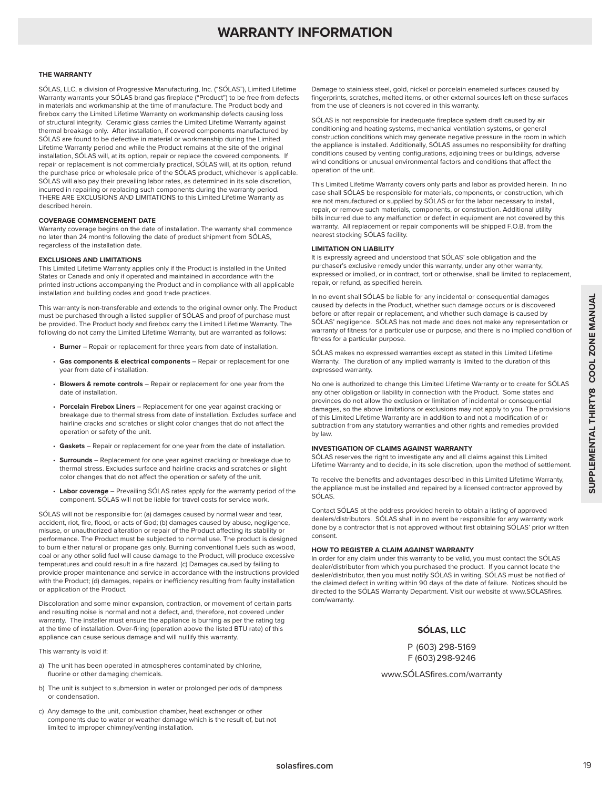## **WARRANTY INFORMATION**

#### **THE WARRANTY**

SÓLAS, LLC, a division of Progressive Manufacturing, Inc. ("SÓLAS"), Limited Lifetime Warranty warrants your SÓLAS brand gas fireplace ("Product") to be free from defects in materials and workmanship at the time of manufacture. The Product body and firebox carry the Limited Lifetime Warranty on workmanship defects causing loss of structural integrity. Ceramic glass carries the Limited Lifetime Warranty against thermal breakage only. After installation, if covered components manufactured by SÓLAS are found to be defective in material or workmanship during the Limited Lifetime Warranty period and while the Product remains at the site of the original installation, SÓLAS will, at its option, repair or replace the covered components. If repair or replacement is not commercially practical, SÓLAS will, at its option, refund the purchase price or wholesale price of the SÓLAS product, whichever is applicable. SÓLAS will also pay their prevailing labor rates, as determined in its sole discretion, incurred in repairing or replacing such components during the warranty period. THERE ARE EXCLUSIONS AND LIMITATIONS to this Limited Lifetime Warranty as described herein.

#### **COVERAGE COMMENCEMENT DATE**

Warranty coverage begins on the date of installation. The warranty shall commence no later than 24 months following the date of product shipment from SÓLAS, regardless of the installation date.

#### **EXCLUSIONS AND LIMITATIONS**

This Limited Lifetime Warranty applies only if the Product is installed in the United States or Canada and only if operated and maintained in accordance with the printed instructions accompanying the Product and in compliance with all applicable installation and building codes and good trade practices.

This warranty is non-transferable and extends to the original owner only. The Product must be purchased through a listed supplier of SÓLAS and proof of purchase must be provided. The Product body and firebox carry the Limited Lifetime Warranty. The following do not carry the Limited Lifetime Warranty, but are warranted as follows:

- **Burner** Repair or replacement for three years from date of installation.
- **Gas components & electrical components** Repair or replacement for one year from date of installation.
- **Blowers & remote controls** Repair or replacement for one year from the date of installation.
- **Porcelain Firebox Liners** Replacement for one year against cracking or breakage due to thermal stress from date of installation. Excludes surface and hairline cracks and scratches or slight color changes that do not affect the operation or safety of the unit.
- Gaskets Repair or replacement for one year from the date of installation.
- **Surrounds** Replacement for one year against cracking or breakage due to thermal stress. Excludes surface and hairline cracks and scratches or slight color changes that do not affect the operation or safety of the unit.
- **Labor coverage** Prevailing SÓLAS rates apply for the warranty period of the component. SÓLAS will not be liable for travel costs for service work.

SÓLAS will not be responsible for: (a) damages caused by normal wear and tear, accident, riot, fire, flood, or acts of God; (b) damages caused by abuse, negligence, misuse, or unauthorized alteration or repair of the Product affecting its stability or performance. The Product must be subjected to normal use. The product is designed to burn either natural or propane gas only. Burning conventional fuels such as wood, coal or any other solid fuel will cause damage to the Product, will produce excessive temperatures and could result in a fire hazard. (c) Damages caused by failing to provide proper maintenance and service in accordance with the instructions provided with the Product; (d) damages, repairs or inefficiency resulting from faulty installation or application of the Product.

Discoloration and some minor expansion, contraction, or movement of certain parts and resulting noise is normal and not a defect, and, therefore, not covered under warranty. The installer must ensure the appliance is burning as per the rating tag at the time of installation. Over-firing (operation above the listed BTU rate) of this appliance can cause serious damage and will nullify this warranty.

This warranty is void if:

- a) The unit has been operated in atmospheres contaminated by chlorine, fluorine or other damaging chemicals.
- b) The unit is subject to submersion in water or prolonged periods of dampness or condensation.
- c) Any damage to the unit, combustion chamber, heat exchanger or other components due to water or weather damage which is the result of, but not limited to improper chimney/venting installation.

Damage to stainless steel, gold, nickel or porcelain enameled surfaces caused by fingerprints, scratches, melted items, or other external sources left on these surfaces from the use of cleaners is not covered in this warranty.

SÓLAS is not responsible for inadequate fireplace system draft caused by air conditioning and heating systems, mechanical ventilation systems, or general construction conditions which may generate negative pressure in the room in which the appliance is installed. Additionally, SÓLAS assumes no responsibility for drafting conditions caused by venting configurations, adjoining trees or buildings, adverse wind conditions or unusual environmental factors and conditions that affect the operation of the unit.

This Limited Lifetime Warranty covers only parts and labor as provided herein. In no case shall SÓLAS be responsible for materials, components, or construction, which are not manufactured or supplied by SÓLAS or for the labor necessary to install, repair, or remove such materials, components, or construction. Additional utility bills incurred due to any malfunction or defect in equipment are not covered by this warranty. All replacement or repair components will be shipped F.O.B. from the nearest stocking SÓLAS facility.

#### **LIMITATION ON LIABILITY**

It is expressly agreed and understood that SÓLAS' sole obligation and the purchaser's exclusive remedy under this warranty, under any other warranty, expressed or implied, or in contract, tort or otherwise, shall be limited to replacement, repair, or refund, as specified herein.

In no event shall SÓLAS be liable for any incidental or consequential damages caused by defects in the Product, whether such damage occurs or is discovered before or after repair or replacement, and whether such damage is caused by SÓLAS' negligence. SÓLAS has not made and does not make any representation or warranty of fitness for a particular use or purpose, and there is no implied condition of fitness for a particular purpose.

SÓLAS makes no expressed warranties except as stated in this Limited Lifetime Warranty. The duration of any implied warranty is limited to the duration of this expressed warranty.

In the book states in the Product of the my interesting of convertises in the convertise of the system and the convertise control of the system of the system in the system of the system of the system of the system of the s No one is authorized to change this Limited Lifetime Warranty or to create for SÓLAS any other obligation or liability in connection with the Product. Some states and provinces do not allow the exclusion or limitation of incidental or consequential damages, so the above limitations or exclusions may not apply to you. The provisions of this Limited Lifetime Warranty are in addition to and not a modification of or subtraction from any statutory warranties and other rights and remedies provided by law.

#### **INVESTIGATION OF CLAIMS AGAINST WARRANTY**

SÓLAS reserves the right to investigate any and all claims against this Limited Lifetime Warranty and to decide, in its sole discretion, upon the method of settlement.

To receive the benefits and advantages described in this Limited Lifetime Warranty, the appliance must be installed and repaired by a licensed contractor approved by SÓLAS.

Contact SÓLAS at the address provided herein to obtain a listing of approved dealers/distributors. SÓLAS shall in no event be responsible for any warranty work done by a contractor that is not approved without first obtaining SÓLAS' prior written consent.

#### **HOW TO REGISTER A CLAIM AGAINST WARRANTY**

In order for any claim under this warranty to be valid, you must contact the SÓLAS dealer/distributor from which you purchased the product. If you cannot locate the dealer/distributor, then you must notify SÓLAS in writing. SÓLAS must be notified of the claimed defect in writing within 90 days of the date of failure. Notices should be directed to the SÓLAS Warranty Department. Visit our website at www.SÓLASfires. com/warranty.

#### **SÓLAS, LLC**

P (603) 298-5169 F (603) 298-9246

www.SÓLASfires.com/warranty